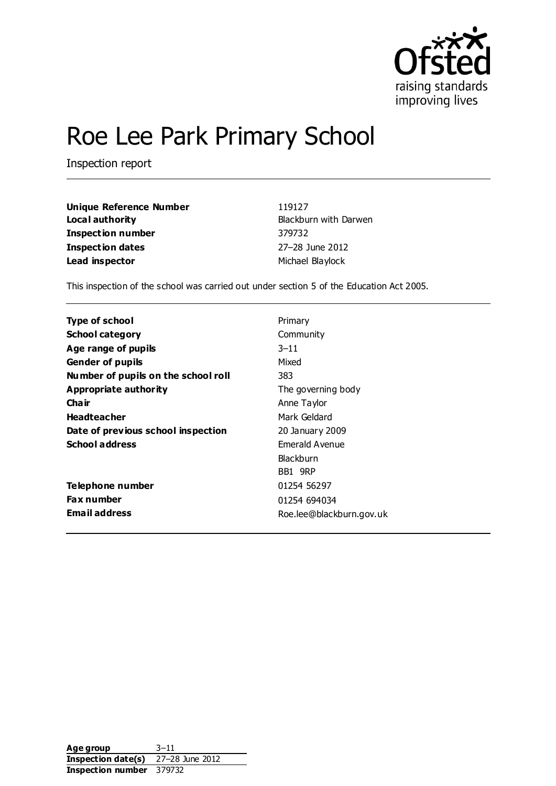

# Roe Lee Park Primary School

Inspection report

| Unique Reference Number | 119127                |
|-------------------------|-----------------------|
| Local authority         | Blackburn with Darwen |
| Inspection number       | 379732                |
| Inspection dates        | 27-28 June 2012       |
| Lead inspector          | Michael Blaylock      |

This inspection of the school was carried out under section 5 of the Education Act 2005.

| Type of school                      | Primary                  |
|-------------------------------------|--------------------------|
| <b>School category</b>              | Community                |
| Age range of pupils                 | $3 - 11$                 |
| <b>Gender of pupils</b>             | Mixed                    |
| Number of pupils on the school roll | 383                      |
| Appropriate authority               | The governing body       |
| Cha ir                              | Anne Taylor              |
| <b>Headteacher</b>                  | Mark Geldard             |
| Date of previous school inspection  | 20 January 2009          |
| <b>School address</b>               | Emerald Avenue           |
|                                     | Blackburn                |
|                                     | BB1 9RP                  |
| Telephone number                    | 01254 56297              |
| <b>Fax number</b>                   | 01254 694034             |
| <b>Email address</b>                | Roe.lee@blackburn.gov.uk |

Age group 3-11 **Inspection date(s)** 27–28 June 2012 **Inspection number** 379732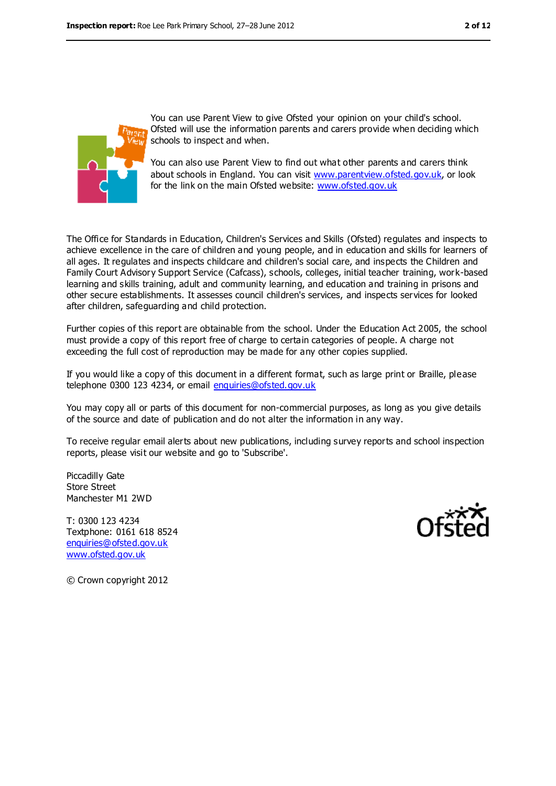

You can use Parent View to give Ofsted your opinion on your child's school. Ofsted will use the information parents and carers provide when deciding which schools to inspect and when.

You can also use Parent View to find out what other parents and carers think about schools in England. You can visit [www.parentview.ofsted.gov.uk,](file:///C:/Users/ggleaden/AppData/Local/Microsoft/Windows/Temporary%20Internet%20Files/CfBT/Inspection/2012%20Inspections/0627%20Roe%20Lee%20Park/Report/www.parentview.ofsted.gov.uk) or look for the link on the main Ofsted website: [www.ofsted.gov.uk](file:///C:/Users/ggleaden/AppData/Local/Microsoft/Windows/Temporary%20Internet%20Files/CfBT/Inspection/2012%20Inspections/0627%20Roe%20Lee%20Park/Report/www.ofsted.gov.uk)

The Office for Standards in Education, Children's Services and Skills (Ofsted) regulates and inspects to achieve excellence in the care of children and young people, and in education and skills for learners of all ages. It regulates and inspects childcare and children's social care, and inspects the Children and Family Court Advisory Support Service (Cafcass), schools, colleges, initial teacher training, work-based learning and skills training, adult and community learning, and education and training in prisons and other secure establishments. It assesses council children's services, and inspects services for looked after children, safeguarding and child protection.

Further copies of this report are obtainable from the school. Under the Education Act 2005, the school must provide a copy of this report free of charge to certain categories of people. A charge not exceeding the full cost of reproduction may be made for any other copies supplied.

If you would like a copy of this document in a different format, such as large print or Braille, please telephone 0300 123 4234, or email [enquiries@ofsted.gov.uk](mailto:enquiries@ofsted.gov.uk)

You may copy all or parts of this document for non-commercial purposes, as long as you give details of the source and date of publication and do not alter the information in any way.

To receive regular email alerts about new publications, including survey reports and school inspection reports, please visit our website and go to 'Subscribe'.

Piccadilly Gate Store Street Manchester M1 2WD

T: 0300 123 4234 Textphone: 0161 618 8524 [enquiries@ofsted.gov.uk](mailto:enquiries@ofsted.gov.uk) [www.ofsted.gov.uk](http://www.ofsted.gov.uk/)



© Crown copyright 2012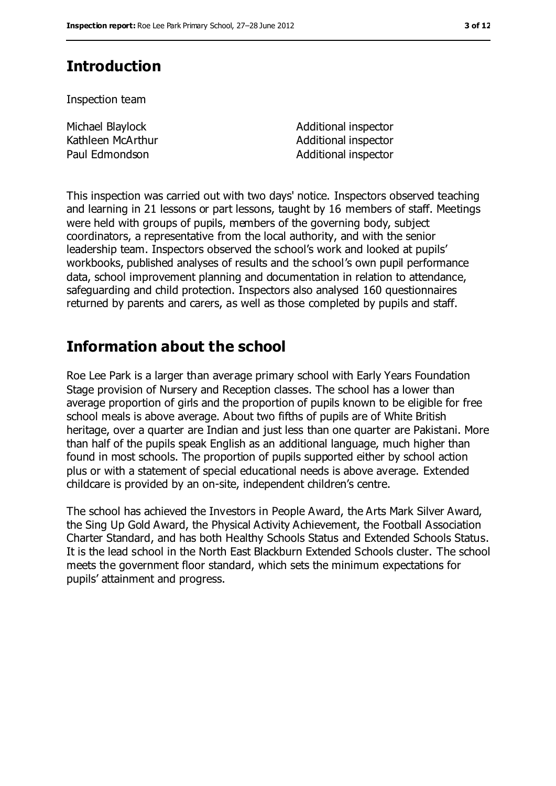# **Introduction**

Inspection team

Michael Blaylock Kathleen McArthur

Additional inspector Additional inspector Paul Edmondson and Additional inspector

This inspection was carried out with two days' notice. Inspectors observed teaching and learning in 21 lessons or part lessons, taught by 16 members of staff. Meetings were held with groups of pupils, members of the governing body, subject coordinators, a representative from the local authority, and with the senior leadership team. Inspectors observed the school's work and looked at pupils' workbooks, published analyses of results and the school's own pupil performance data, school improvement planning and documentation in relation to attendance, safeguarding and child protection. Inspectors also analysed 160 questionnaires returned by parents and carers, as well as those completed by pupils and staff.

# **Information about the school**

Roe Lee Park is a larger than average primary school with Early Years Foundation Stage provision of Nursery and Reception classes. The school has a lower than average proportion of girls and the proportion of pupils known to be eligible for free school meals is above average. About two fifths of pupils are of White British heritage, over a quarter are Indian and just less than one quarter are Pakistani. More than half of the pupils speak English as an additional language, much higher than found in most schools. The proportion of pupils supported either by school action plus or with a statement of special educational needs is above average. Extended childcare is provided by an on-site, independent children's centre.

The school has achieved the Investors in People Award, the Arts Mark Silver Award, the Sing Up Gold Award, the Physical Activity Achievement, the Football Association Charter Standard, and has both Healthy Schools Status and Extended Schools Status. It is the lead school in the North East Blackburn Extended Schools cluster. The school meets the government floor standard, which sets the minimum expectations for pupils' attainment and progress.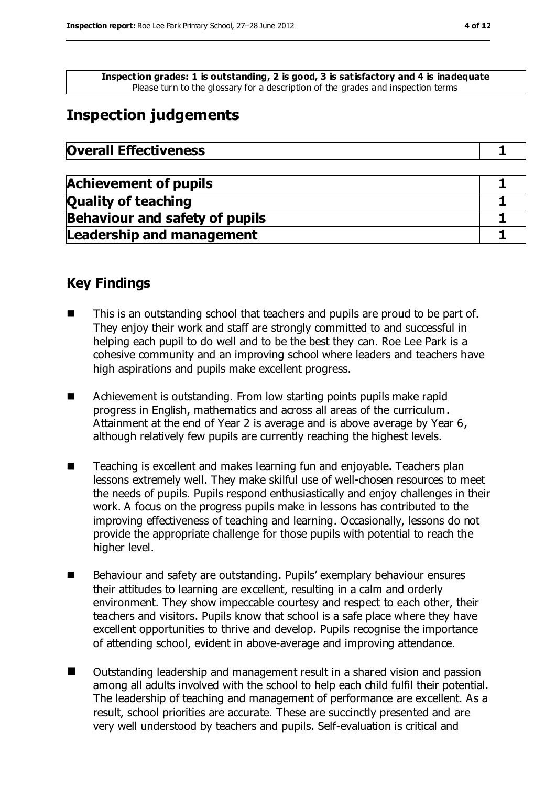**Inspection grades: 1 is outstanding, 2 is good, 3 is satisfactory and 4 is inadequate** Please turn to the glossary for a description of the grades and inspection terms

# **Inspection judgements**

| <b>Overall Effectiveness</b> |
|------------------------------|
|                              |

| <b>Achievement of pupils</b>          |  |
|---------------------------------------|--|
| <b>Quality of teaching</b>            |  |
| <b>Behaviour and safety of pupils</b> |  |
| <b>Leadership and management</b>      |  |

## **Key Findings**

- This is an outstanding school that teachers and pupils are proud to be part of. They enjoy their work and staff are strongly committed to and successful in helping each pupil to do well and to be the best they can. Roe Lee Park is a cohesive community and an improving school where leaders and teachers have high aspirations and pupils make excellent progress.
- Achievement is outstanding. From low starting points pupils make rapid progress in English, mathematics and across all areas of the curriculum. Attainment at the end of Year 2 is average and is above average by Year 6, although relatively few pupils are currently reaching the highest levels.
- Teaching is excellent and makes learning fun and enjoyable. Teachers plan lessons extremely well. They make skilful use of well-chosen resources to meet the needs of pupils. Pupils respond enthusiastically and enjoy challenges in their work. A focus on the progress pupils make in lessons has contributed to the improving effectiveness of teaching and learning. Occasionally, lessons do not provide the appropriate challenge for those pupils with potential to reach the higher level.
- Behaviour and safety are outstanding. Pupils' exemplary behaviour ensures their attitudes to learning are excellent, resulting in a calm and orderly environment. They show impeccable courtesy and respect to each other, their teachers and visitors. Pupils know that school is a safe place where they have excellent opportunities to thrive and develop. Pupils recognise the importance of attending school, evident in above-average and improving attendance.
- Outstanding leadership and management result in a shared vision and passion among all adults involved with the school to help each child fulfil their potential. The leadership of teaching and management of performance are excellent. As a result, school priorities are accurate. These are succinctly presented and are very well understood by teachers and pupils. Self-evaluation is critical and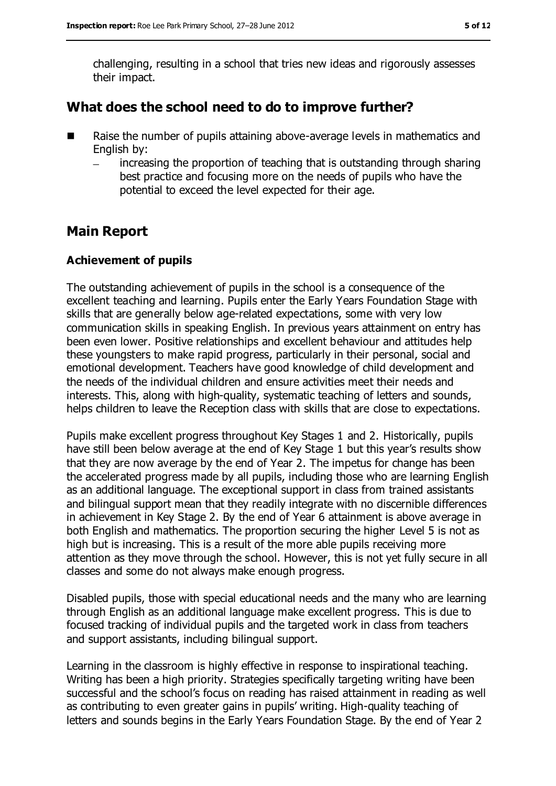challenging, resulting in a school that tries new ideas and rigorously assesses their impact.

## **What does the school need to do to improve further?**

- Raise the number of pupils attaining above-average levels in mathematics and English by:
	- increasing the proportion of teaching that is outstanding through sharing best practice and focusing more on the needs of pupils who have the potential to exceed the level expected for their age.

## **Main Report**

#### **Achievement of pupils**

The outstanding achievement of pupils in the school is a consequence of the excellent teaching and learning. Pupils enter the Early Years Foundation Stage with skills that are generally below age-related expectations, some with very low communication skills in speaking English. In previous years attainment on entry has been even lower. Positive relationships and excellent behaviour and attitudes help these youngsters to make rapid progress, particularly in their personal, social and emotional development. Teachers have good knowledge of child development and the needs of the individual children and ensure activities meet their needs and interests. This, along with high-quality, systematic teaching of letters and sounds, helps children to leave the Reception class with skills that are close to expectations.

Pupils make excellent progress throughout Key Stages 1 and 2. Historically, pupils have still been below average at the end of Key Stage 1 but this year's results show that they are now average by the end of Year 2. The impetus for change has been the accelerated progress made by all pupils, including those who are learning English as an additional language. The exceptional support in class from trained assistants and bilingual support mean that they readily integrate with no discernible differences in achievement in Key Stage 2. By the end of Year 6 attainment is above average in both English and mathematics. The proportion securing the higher Level 5 is not as high but is increasing. This is a result of the more able pupils receiving more attention as they move through the school. However, this is not yet fully secure in all classes and some do not always make enough progress.

Disabled pupils, those with special educational needs and the many who are learning through English as an additional language make excellent progress. This is due to focused tracking of individual pupils and the targeted work in class from teachers and support assistants, including bilingual support.

Learning in the classroom is highly effective in response to inspirational teaching. Writing has been a high priority. Strategies specifically targeting writing have been successful and the school's focus on reading has raised attainment in reading as well as contributing to even greater gains in pupils' writing. High-quality teaching of letters and sounds begins in the Early Years Foundation Stage. By the end of Year 2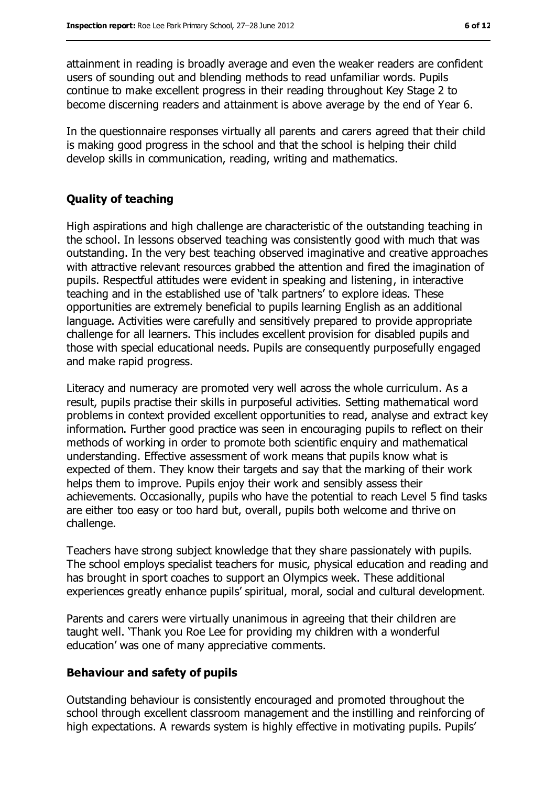attainment in reading is broadly average and even the weaker readers are confident users of sounding out and blending methods to read unfamiliar words. Pupils continue to make excellent progress in their reading throughout Key Stage 2 to become discerning readers and attainment is above average by the end of Year 6.

In the questionnaire responses virtually all parents and carers agreed that their child is making good progress in the school and that the school is helping their child develop skills in communication, reading, writing and mathematics.

#### **Quality of teaching**

High aspirations and high challenge are characteristic of the outstanding teaching in the school. In lessons observed teaching was consistently good with much that was outstanding. In the very best teaching observed imaginative and creative approaches with attractive relevant resources grabbed the attention and fired the imagination of pupils. Respectful attitudes were evident in speaking and listening, in interactive teaching and in the established use of 'talk partners' to explore ideas. These opportunities are extremely beneficial to pupils learning English as an additional language. Activities were carefully and sensitively prepared to provide appropriate challenge for all learners. This includes excellent provision for disabled pupils and those with special educational needs. Pupils are consequently purposefully engaged and make rapid progress.

Literacy and numeracy are promoted very well across the whole curriculum. As a result, pupils practise their skills in purposeful activities. Setting mathematical word problems in context provided excellent opportunities to read, analyse and extract key information. Further good practice was seen in encouraging pupils to reflect on their methods of working in order to promote both scientific enquiry and mathematical understanding. Effective assessment of work means that pupils know what is expected of them. They know their targets and say that the marking of their work helps them to improve. Pupils enjoy their work and sensibly assess their achievements. Occasionally, pupils who have the potential to reach Level 5 find tasks are either too easy or too hard but, overall, pupils both welcome and thrive on challenge.

Teachers have strong subject knowledge that they share passionately with pupils. The school employs specialist teachers for music, physical education and reading and has brought in sport coaches to support an Olympics week. These additional experiences greatly enhance pupils' spiritual, moral, social and cultural development.

Parents and carers were virtually unanimous in agreeing that their children are taught well. 'Thank you Roe Lee for providing my children with a wonderful education' was one of many appreciative comments.

#### **Behaviour and safety of pupils**

Outstanding behaviour is consistently encouraged and promoted throughout the school through excellent classroom management and the instilling and reinforcing of high expectations. A rewards system is highly effective in motivating pupils. Pupils'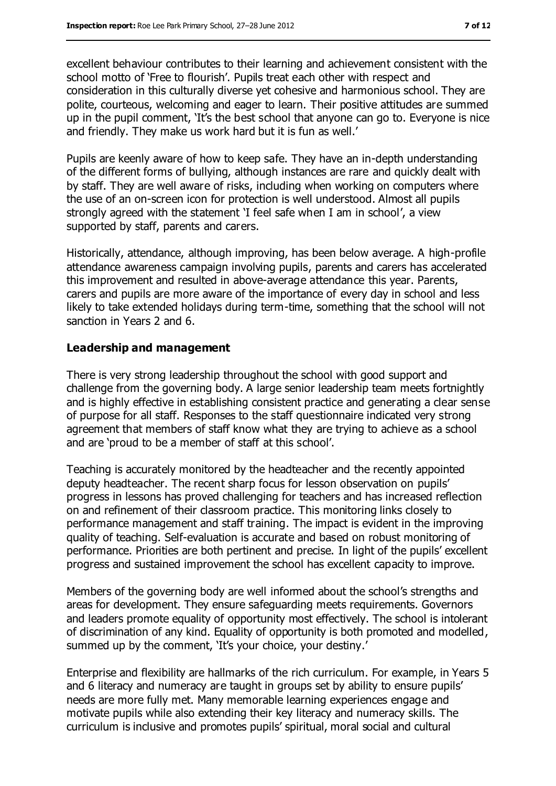excellent behaviour contributes to their learning and achievement consistent with the school motto of 'Free to flourish'. Pupils treat each other with respect and consideration in this culturally diverse yet cohesive and harmonious school. They are polite, courteous, welcoming and eager to learn. Their positive attitudes are summed up in the pupil comment, 'It's the best school that anyone can go to. Everyone is nice and friendly. They make us work hard but it is fun as well.'

Pupils are keenly aware of how to keep safe. They have an in-depth understanding of the different forms of bullying, although instances are rare and quickly dealt with by staff. They are well aware of risks, including when working on computers where the use of an on-screen icon for protection is well understood. Almost all pupils strongly agreed with the statement 'I feel safe when I am in school', a view supported by staff, parents and carers.

Historically, attendance, although improving, has been below average. A high-profile attendance awareness campaign involving pupils, parents and carers has accelerated this improvement and resulted in above-average attendance this year. Parents, carers and pupils are more aware of the importance of every day in school and less likely to take extended holidays during term-time, something that the school will not sanction in Years 2 and 6.

#### **Leadership and management**

There is very strong leadership throughout the school with good support and challenge from the governing body. A large senior leadership team meets fortnightly and is highly effective in establishing consistent practice and generating a clear sense of purpose for all staff. Responses to the staff questionnaire indicated very strong agreement that members of staff know what they are trying to achieve as a school and are 'proud to be a member of staff at this school'.

Teaching is accurately monitored by the headteacher and the recently appointed deputy headteacher. The recent sharp focus for lesson observation on pupils' progress in lessons has proved challenging for teachers and has increased reflection on and refinement of their classroom practice. This monitoring links closely to performance management and staff training. The impact is evident in the improving quality of teaching. Self-evaluation is accurate and based on robust monitoring of performance. Priorities are both pertinent and precise. In light of the pupils' excellent progress and sustained improvement the school has excellent capacity to improve.

Members of the governing body are well informed about the school's strengths and areas for development. They ensure safeguarding meets requirements. Governors and leaders promote equality of opportunity most effectively. The school is intolerant of discrimination of any kind. Equality of opportunity is both promoted and modelled, summed up by the comment, 'It's your choice, your destiny.'

Enterprise and flexibility are hallmarks of the rich curriculum. For example, in Years 5 and 6 literacy and numeracy are taught in groups set by ability to ensure pupils' needs are more fully met. Many memorable learning experiences engage and motivate pupils while also extending their key literacy and numeracy skills. The curriculum is inclusive and promotes pupils' spiritual, moral social and cultural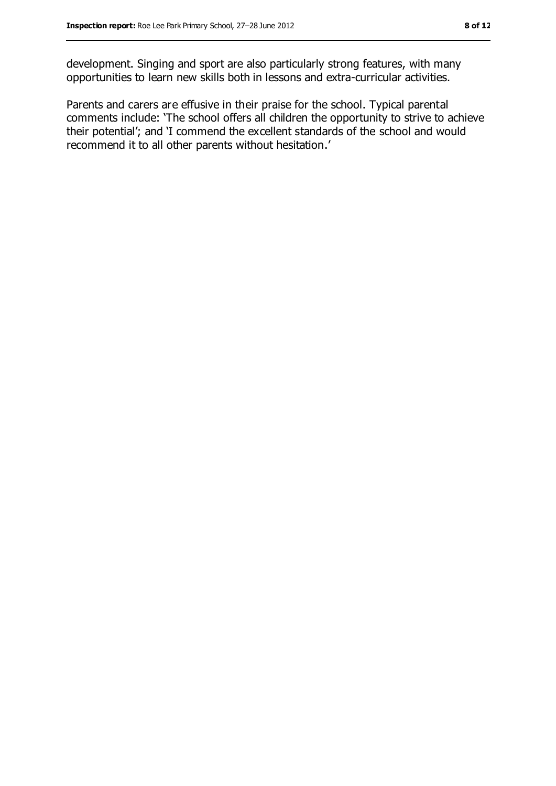development. Singing and sport are also particularly strong features, with many opportunities to learn new skills both in lessons and extra-curricular activities.

Parents and carers are effusive in their praise for the school. Typical parental comments include: 'The school offers all children the opportunity to strive to achieve their potential'; and 'I commend the excellent standards of the school and would recommend it to all other parents without hesitation.'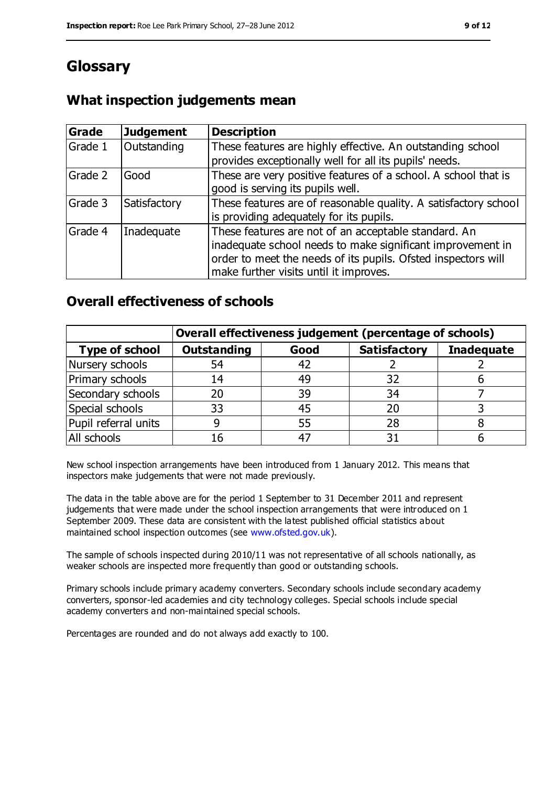# **Glossary**

## **What inspection judgements mean**

| Grade   | <b>Judgement</b> | <b>Description</b>                                                                                                                                                                                                            |
|---------|------------------|-------------------------------------------------------------------------------------------------------------------------------------------------------------------------------------------------------------------------------|
| Grade 1 | Outstanding      | These features are highly effective. An outstanding school<br>provides exceptionally well for all its pupils' needs.                                                                                                          |
| Grade 2 | Good             | These are very positive features of a school. A school that is<br>good is serving its pupils well.                                                                                                                            |
| Grade 3 | Satisfactory     | These features are of reasonable quality. A satisfactory school<br>is providing adequately for its pupils.                                                                                                                    |
| Grade 4 | Inadequate       | These features are not of an acceptable standard. An<br>inadequate school needs to make significant improvement in<br>order to meet the needs of its pupils. Ofsted inspectors will<br>make further visits until it improves. |

## **Overall effectiveness of schools**

|                       | Overall effectiveness judgement (percentage of schools) |      |                     |                   |
|-----------------------|---------------------------------------------------------|------|---------------------|-------------------|
| <b>Type of school</b> | <b>Outstanding</b>                                      | Good | <b>Satisfactory</b> | <b>Inadequate</b> |
| Nursery schools       | 54                                                      | 42   |                     |                   |
| Primary schools       | 14                                                      | 49   | 32                  |                   |
| Secondary schools     | 20                                                      | 39   | 34                  |                   |
| Special schools       | 33                                                      | 45   |                     |                   |
| Pupil referral units  | 9                                                       | 55   | 28                  |                   |
| All schools           | 16                                                      | -47  |                     |                   |

New school inspection arrangements have been introduced from 1 January 2012. This means that inspectors make judgements that were not made previously.

The data in the table above are for the period 1 September to 31 December 2011 and represent judgements that were made under the school inspection arrangements that were introduced on 1 September 2009. These data are consistent with the latest published official statistics about maintained school inspection outcomes (see [www.ofsted.gov.uk\)](file:///C:/Users/ggleaden/AppData/Local/Microsoft/Windows/Temporary%20Internet%20Files/CfBT/Inspection/2012%20Inspections/0627%20Roe%20Lee%20Park/Report/www.ofsted.gov.uk).

The sample of schools inspected during 2010/11 was not representative of all schools nationally, as weaker schools are inspected more frequently than good or outstanding schools.

Primary schools include primary academy converters. Secondary schools include secondary academy converters, sponsor-led academies and city technology colleges. Special schools include special academy converters and non-maintained special schools.

Percentages are rounded and do not always add exactly to 100.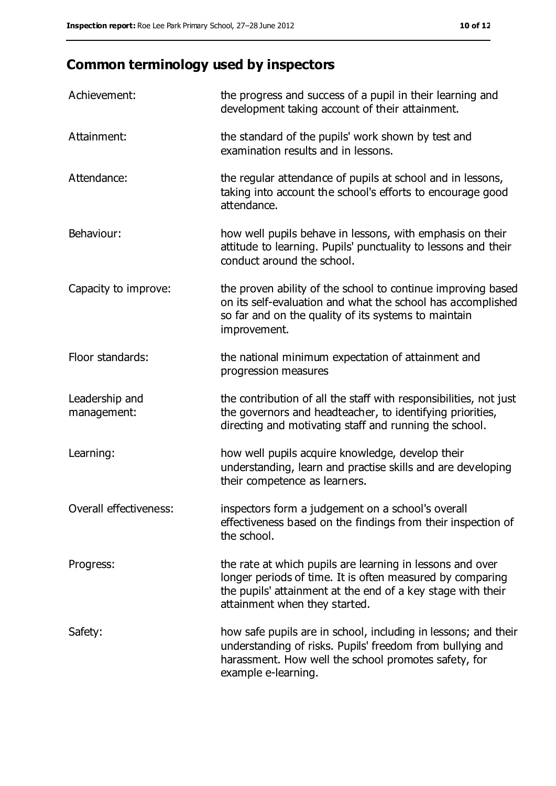# **Common terminology used by inspectors**

| Achievement:                  | the progress and success of a pupil in their learning and<br>development taking account of their attainment.                                                                                                           |
|-------------------------------|------------------------------------------------------------------------------------------------------------------------------------------------------------------------------------------------------------------------|
| Attainment:                   | the standard of the pupils' work shown by test and<br>examination results and in lessons.                                                                                                                              |
| Attendance:                   | the regular attendance of pupils at school and in lessons,<br>taking into account the school's efforts to encourage good<br>attendance.                                                                                |
| Behaviour:                    | how well pupils behave in lessons, with emphasis on their<br>attitude to learning. Pupils' punctuality to lessons and their<br>conduct around the school.                                                              |
| Capacity to improve:          | the proven ability of the school to continue improving based<br>on its self-evaluation and what the school has accomplished<br>so far and on the quality of its systems to maintain<br>improvement.                    |
| Floor standards:              | the national minimum expectation of attainment and<br>progression measures                                                                                                                                             |
| Leadership and<br>management: | the contribution of all the staff with responsibilities, not just<br>the governors and headteacher, to identifying priorities,<br>directing and motivating staff and running the school.                               |
| Learning:                     | how well pupils acquire knowledge, develop their<br>understanding, learn and practise skills and are developing<br>their competence as learners.                                                                       |
| Overall effectiveness:        | inspectors form a judgement on a school's overall<br>effectiveness based on the findings from their inspection of<br>the school.                                                                                       |
| Progress:                     | the rate at which pupils are learning in lessons and over<br>longer periods of time. It is often measured by comparing<br>the pupils' attainment at the end of a key stage with their<br>attainment when they started. |
| Safety:                       | how safe pupils are in school, including in lessons; and their<br>understanding of risks. Pupils' freedom from bullying and<br>harassment. How well the school promotes safety, for<br>example e-learning.             |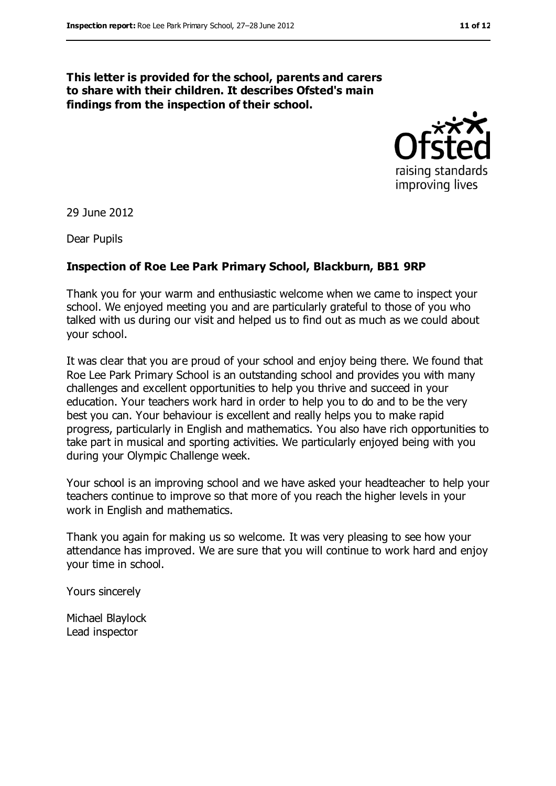#### **This letter is provided for the school, parents and carers to share with their children. It describes Ofsted's main findings from the inspection of their school.**



29 June 2012

Dear Pupils

#### **Inspection of Roe Lee Park Primary School, Blackburn, BB1 9RP**

Thank you for your warm and enthusiastic welcome when we came to inspect your school. We enjoyed meeting you and are particularly grateful to those of you who talked with us during our visit and helped us to find out as much as we could about your school.

It was clear that you are proud of your school and enjoy being there. We found that Roe Lee Park Primary School is an outstanding school and provides you with many challenges and excellent opportunities to help you thrive and succeed in your education. Your teachers work hard in order to help you to do and to be the very best you can. Your behaviour is excellent and really helps you to make rapid progress, particularly in English and mathematics. You also have rich opportunities to take part in musical and sporting activities. We particularly enjoyed being with you during your Olympic Challenge week.

Your school is an improving school and we have asked your headteacher to help your teachers continue to improve so that more of you reach the higher levels in your work in English and mathematics.

Thank you again for making us so welcome. It was very pleasing to see how your attendance has improved. We are sure that you will continue to work hard and enjoy your time in school.

Yours sincerely

Michael Blaylock Lead inspector